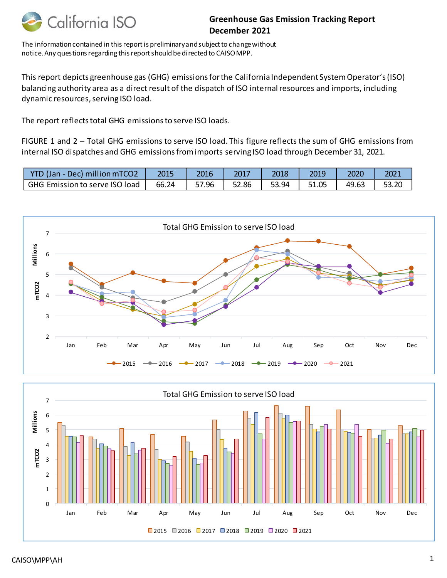

## **Greenhouse Gas Emission Tracking Report December 2021**

The information contained in this report is preliminary and subject to change without notice. Any questions regarding this report should be directed to CAISO MPP.

This report depicts greenhouse gas (GHG) emissions for the California Independent System Operator's(ISO) balancing authority area as a direct result of the dispatch of ISO internal resources and imports, including dynamic resources, serving ISO load.

The report reflects total GHG emissions to serve ISO loads.

FIGURE 1 and 2 – Total GHG emissions to serve ISO load. This figure reflects the sum of GHG emissions from internal ISO dispatches and GHG emissions from imports serving ISO load through December 31, 2021.

| <b>YTD</b><br>(Jan - Dec) million mTCO2 | 2015  | 2016  | 2017  | 2018  | 2019  | 2020  | 2021  |
|-----------------------------------------|-------|-------|-------|-------|-------|-------|-------|
| GHG Emission to serve ISO load          | 66.24 | 57.96 | 52.86 | 53.94 | 51.05 | 49.63 | 53.20 |